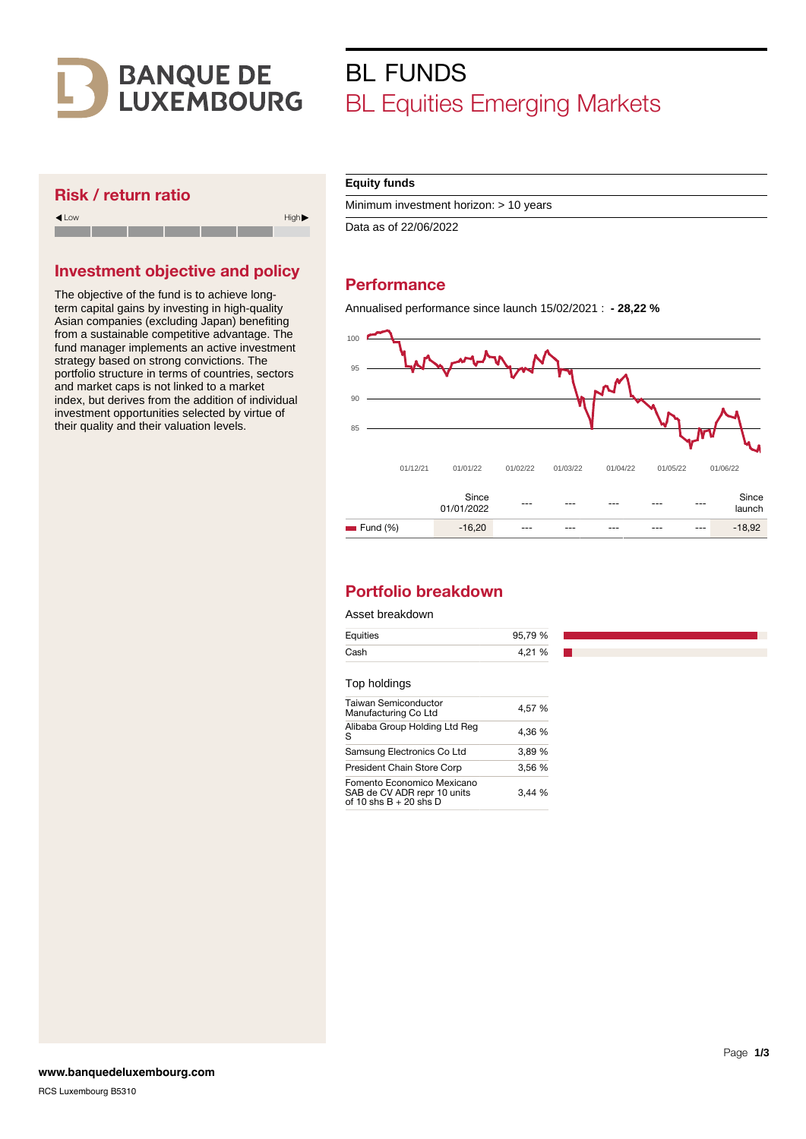

# BL FUNDS BL Equities Emerging Markets

## Risk / return ratio



## Investment objective and policy

The objective of the fund is to achieve longterm capital gains by investing in high-quality Asian companies (excluding Japan) benefiting from a sustainable competitive advantage. The fund manager implements an active investment strategy based on strong convictions. The portfolio structure in terms of countries, sectors and market caps is not linked to a market index, but derives from the addition of individual investment opportunities selected by virtue of their quality and their valuation levels.

#### **Equity funds**

Minimum investment horizon: > 10 years

Data as of 22/06/2022

## **Performance**

Annualised performance since launch 15/02/2021 : **- 28,22 %**



## Portfolio breakdown

#### Asset breakdown

| Equities     | 95,79 % |
|--------------|---------|
| Cash         | 4,21 %  |
|              |         |
| Top holdings |         |

| Alibaba Group Holding Ltd Reg<br>S                                                    | 4.36 % |
|---------------------------------------------------------------------------------------|--------|
| Samsung Electronics Co Ltd                                                            | 3.89 % |
| President Chain Store Corp                                                            | 3.56 % |
| Fomento Economico Mexicano<br>SAB de CV ADR repr 10 units<br>of 10 shs $B + 20$ shs D | 3.44%  |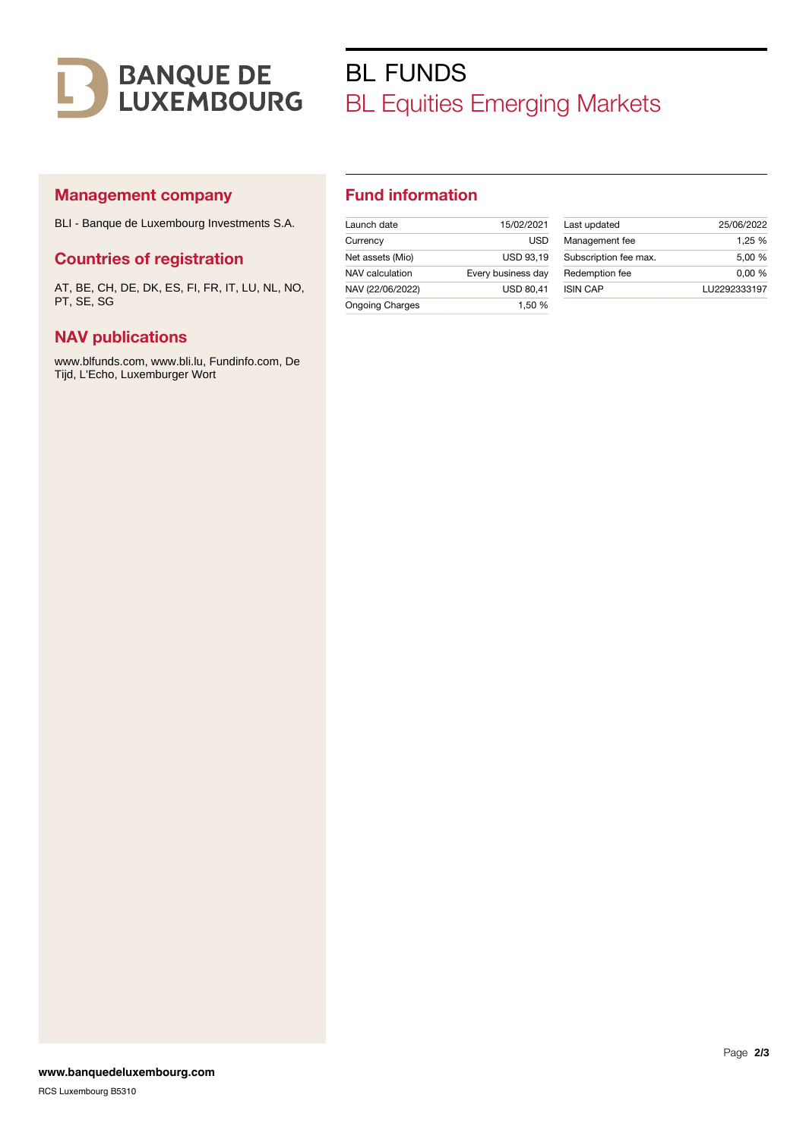

# BL FUNDS BL Equities Emerging Markets

## Management company

BLI - Banque de Luxembourg Investments S.A.

### Countries of registration

AT, BE, CH, DE, DK, ES, FI, FR, IT, LU, NL, NO, PT, SE, SG

### NAV publications

www.blfunds.com, www.bli.lu, Fundinfo.com, De Tijd, L'Echo, Luxemburger Wort

## Fund information

| Launch date            | 15/02/2021         |
|------------------------|--------------------|
| Currency               | USD                |
| Net assets (Mio)       | <b>USD 93.19</b>   |
| NAV calculation        | Every business day |
| NAV (22/06/2022)       | <b>USD 80,41</b>   |
| <b>Ongoing Charges</b> | 1.50 %             |

| Last updated          | 25/06/2022   |
|-----------------------|--------------|
| Management fee        | 1.25 %       |
| Subscription fee max. | 5.00 %       |
| Redemption fee        | 0.00%        |
| <b>ISIN CAP</b>       | LU2292333197 |
|                       |              |